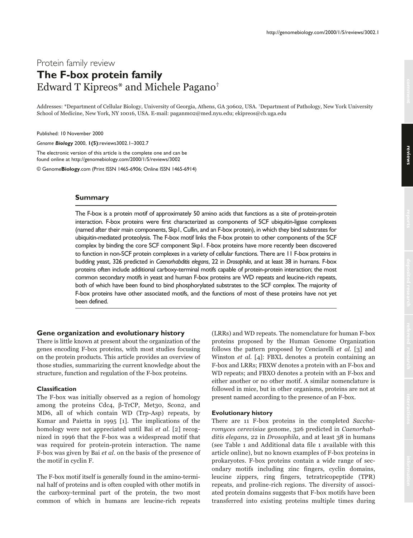# Protein family review **The F-box protein family** Edward T Kipreos\* and Michele Pagano $^\dagger$

Addresses: \*Department of Cellular Biology, University of Georgia, Athens, GA 30602, USA. †Department of Pathology, New York University School of Medicine, New York, NY 10016, USA. E-mail: paganm02@med.nyu.edu; ekipreos@cb.uga.edu

Published: 10 November 2000

*Genome Biology* 2000, **1(5)**:reviews3002.1–3002.7

The electronic version of this article is the complete one and can be found online at http://genomebiology.com/2000/1/5/reviews/3002

© Genome**Biology**.com (Print ISSN 1465-6906; Online ISSN 1465-6914)

## **Summary**

The F-box is a protein motif of approximately 50 amino acids that functions as a site of protein-protein interaction. F-box proteins were first characterized as components of SCF ubiquitin-ligase complexes (named after their main components, Skp1, Cullin, and an F-box protein), in which they bind substrates for ubiquitin-mediated proteolysis. The F-box motif links the F-box protein to other components of the SCF complex by binding the core SCF component Skp1. F-box proteins have more recently been discovered to function in non-SCF protein complexes in a variety of cellular functions. There are 11 F-box proteins in budding yeast, 326 predicted in *Caenorhabditis elegans*, 22 in *Drosophila*, and at least 38 in humans. F-box proteins often include additional carboxy-terminal motifs capable of protein-protein interaction; the most common secondary motifs in yeast and human F-box proteins are WD repeats and leucine-rich repeats, both of which have been found to bind phosphorylated substrates to the SCF complex. The majority of F-box proteins have other associated motifs, and the functions of most of these proteins have not yet been defined.

#### **Gene organization and evolutionary history**

There is little known at present about the organization of the genes encoding F-box proteins, with most studies focusing on the protein products. This article provides an overview of those studies, summarizing the current knowledge about the structure, function and regulation of the F-box proteins.

#### **Classification**

The F-box was initially observed as a region of homology among the proteins Cdc4, β-TrCP, Met30, Scon2, and MD6, all of which contain WD (Trp-Asp) repeats, by Kumar and Paietta in 1995 [1]. The implications of the homology were not appreciated until Bai et al. [2] recognized in 1996 that the F-box was a widespread motif that was required for protein-protein interaction. The name F-box was given by Bai et al. on the basis of the presence of the motif in cyclin F.

The F-box motif itself is generally found in the amino-terminal half of proteins and is often coupled with other motifs in the carboxy-terminal part of the protein, the two most common of which in humans are leucine-rich repeats

(LRRs) and WD repeats. The nomenclature for human F-box proteins proposed by the Human Genome Organization follows the pattern proposed by Cenciarelli *et al.* [3] and Winston et al. [4]: FBXL denotes a protein containing an F-box and LRRs; FBXW denotes a protein with an F-box and WD repeats; and FBXO denotes a protein with an F-box and either another or no other motif. A similar nomenclature is followed in mice, but in other organisms, proteins are not at present named according to the presence of an F-box.

# **Evolutionary history**

There are 11 F-box proteins in the completed Saccharomyces cerevisiae genome, 326 predicted in Caenorhab*ditis elegans*, 22 in *Drosophila*, and at least 38 in humans (see Table 1 and Additional data file 1 available with this article online), but no known examples of F-box proteins in prokaryotes. F-box proteins contain a wide range of secondary motifs including zinc fingers, cyclin domains, leucine zippers, ring fingers, tetratricopeptide (TPR) repeats, and proline-rich regions. The diversity of associated protein domains suggests that F-box motifs have been transferred into existing proteins multiple times during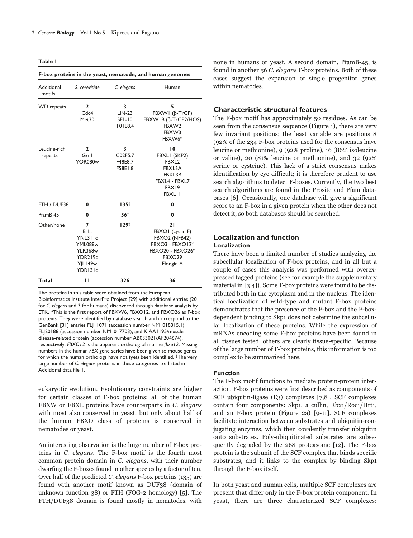**Table 1**

| F-box proteins in the yeast, nematode, and human genomes |                                                                                           |                                    |                                                                                                                          |  |
|----------------------------------------------------------|-------------------------------------------------------------------------------------------|------------------------------------|--------------------------------------------------------------------------------------------------------------------------|--|
| Additional<br>motifs                                     | S. cerevisiae                                                                             | C. elegans                         | Human                                                                                                                    |  |
| <b>WD</b> repeats                                        | $\mathbf{2}$<br>Cdc4<br>Met30                                                             | 3<br>$LIN-23$<br>SEL-10<br>T01E8.4 | 5<br>FBXWI (β-TrCP)<br>FBXWIB (β-TrCP2/HOS)<br>FBXW2<br>FBXW3<br>FBXW6*                                                  |  |
| Leucine-rich<br>repeats                                  | $\mathbf{2}$<br>Grrl<br><b>YOR080w</b>                                                    | 3<br>C02F5.7<br>F48E8.7<br>F58E1.8 | 10<br>FBXLI (SKP2)<br>FBXL <sub>2</sub><br>FBXL3A<br>FBXL3B<br>FBXL4 - FBXL7<br>FBXL9<br><b>FBXLII</b>                   |  |
| FTH / DUF38                                              | 0                                                                                         | $135^+$                            | 0                                                                                                                        |  |
| PfamB <sub>45</sub>                                      | $\bf{0}$                                                                                  | 56†                                | 0                                                                                                                        |  |
| Other/none                                               | 7<br>Ella<br>YNL311c<br><b>YML088w</b><br><b>YLR368w</b><br>YDR219c<br>YILI49w<br>YDR131c | 129 <sup>†</sup>                   | 21<br>FBXOI (cyclin F)<br>FBXO2 (NFB42)<br>FBXO3 - FBXO12*<br><b>FBXO20 - FBXO26*</b><br>FBXO <sub>29</sub><br>Elongin A |  |
| Total                                                    | п                                                                                         | 326                                | 36                                                                                                                       |  |

The proteins in this table were obtained from the European Bioinformatics Institute InterPro Project [29] with additional entries (20 for *C. elegans* and 3 for humans) discovered through database analysis by ETK. \*This is the first report of FBXW6, FBXO12, and FBXO26 as F-box proteins. They were identified by database search and correspond to the GenBank [31] entries FLJ11071 (accession number NM\_018315.1), FLJ20188 (accession number NM\_017703), and KIAA1195/muscle disease-related protein (accession number AB033021/AF204674), respectively. *FBXO12* is the apparent ortholog of murine *fbxo12*. Missing numbers in the human *FBX* gene series have been given to mouse genes for which the human orthologs have not (yet) been identified. †The very large number of *C. elegans* proteins in these categories are listed in Additional data file 1.

eukaryotic evolution. Evolutionary constraints are higher for certain classes of F-box proteins: all of the human FBXW or FBXL proteins have counterparts in C. elegans with most also conserved in yeast, but only about half of the human FBXO class of proteins is conserved in nematodes or yeast.

An interesting observation is the huge number of F-box proteins in C. elegans. The F-box motif is the fourth most common protein domain in C. elegans, with their number dwarfing the F-boxes found in other species by a factor of ten. Over half of the predicted C. elegans F-box proteins (135) are found with another motif known as DUF38 (domain of unknown function  $38$ ) or FTH (FOG-2 homology) [5]. The FTH/DUF38 domain is found mostly in nematodes, with

none in humans or yeast. A second domain, PfamB-45, is found in another 56 C. elegans F-box proteins. Both of these cases suggest the expansion of single progenitor genes within nematodes.

# **Characteristic structural features**

The F-box motif has approximately 50 residues. As can be seen from the consensus sequence (Figure 1), there are very few invariant positions; the least variable are positions 8 (92% of the 234 F-box proteins used for the consensus have leucine or methionine), 9 (92% proline), 16 (86% isoleucine or valine), 20 (81% leucine or methionine), and 32 (92% serine or cysteine). This lack of a strict consensus makes identification by eye difficult; it is therefore prudent to use search algorithms to detect F-boxes. Currently, the two best search algorithms are found in the Prosite and Pfam databases [6]. Occasionally, one database will give a significant score to an F-box in a given protein when the other does not detect it, so both databases should be searched.

# **Localization and function Localization**

There have been a limited number of studies analyzing the subcellular localization of F-box proteins, and in all but a couple of cases this analysis was performed with overexpressed tagged proteins (see for example the supplementary material in [3,4]). Some F-box proteins were found to be distributed both in the cytoplasm and in the nucleus. The identical localization of wild-type and mutant F-box proteins demonstrates that the presence of the F-box and the F-boxdependent binding to Skp1 does not determine the subcellular localization of these proteins. While the expression of mRNAs encoding some F-box proteins have been found in all tissues tested, others are clearly tissue-specific. Because of the large number of F-box proteins, this information is too complex to be summarized here.

#### **Function**

The F-box motif functions to mediate protein-protein interaction. F-box proteins were first described as components of SCF ubiqutin-ligase (E3) complexes [7,8]. SCF complexes contain four components: Skp1, a cullin, Rbx1/Roc1/Hrt1, and an F-box protein (Figure 2a) [9-11]. SCF complexes facilitate interaction between substrates and ubiquitin-conjugating enzymes, which then covalently transfer ubiquitin onto substrates. Poly-ubiquitinated substrates are subsequently degraded by the 26S proteasome [12]. The F-box protein is the subunit of the SCF complex that binds specific substrates, and it links to the complex by binding Skp1 through the F-box itself.

In both yeast and human cells, multiple SCF complexes are present that differ only in the F-box protein component. In yeast, there are three characterized SCF complexes: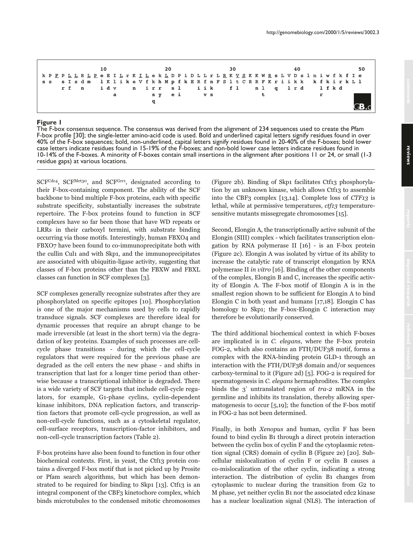



## **Figure 1**

The F-box consensus sequence. The consensus was derived from the alignment of 234 sequences used to create the Pfam F-box profile [30]; the single-letter amino-acid code is used. Bold and underlined capital letters signify residues found in over 40% of the F-box sequences; bold, non-underlined, capital letters signify residues found in 20-40% of the F-boxes; bold lower case letters indicate residues found in 15-19% of the F-boxes; and non-bold lower case letters indicate residues found in 10-14% of the F-boxes. A minority of F-boxes contain small insertions in the alignment after positions 11 or 24, or small (1-3 residue gaps) at various locations.

SCFCdc4, SCFMet30, and SCFGrr1, designated according to their F-box-containing component. The ability of the SCF backbone to bind multiple F-box proteins, each with specific substrate specificity, substantially increases the substrate repertoire. The F-box proteins found to function in SCF complexes have so far been those that have WD repeats or LRRs in their carboxyl termini, with substrate binding occurring via those motifs. Interestingly, human FBXO4 and FBXO7 have been found to co-immunoprecipitate both with the cullin Cul1 and with Skp1, and the immunoprecipitates are associated with ubiquitin-ligase activity, suggesting that classes of F-box proteins other than the FBXW and FBXL classes can function in SCF complexes [3].

SCF complexes generally recognize substrates after they are phosphorylated on specific epitopes [10]. Phosphorylation is one of the major mechanisms used by cells to rapidly transduce signals. SCF complexes are therefore ideal for dynamic processes that require an abrupt change to be made irreversible (at least in the short term) via the degradation of key proteins. Examples of such processes are cellcycle phase transitions - during which the cell-cycle regulators that were required for the previous phase are degraded as the cell enters the new phase - and shifts in transcription that last for a longer time period than otherwise because a transcriptional inhibitor is degraded. There is a wide variety of SCF targets that include cell-cycle regulators, for example, G1-phase cyclins, cyclin-dependent kinase inhibitors, DNA replication factors, and transcription factors that promote cell-cycle progression, as well as non-cell-cycle functions, such as a cytoskeletal regulator, cell-surface receptors, transcription-factor inhibitors, and non-cell-cycle transcription factors (Table 2).

F-box proteins have also been found to function in four other biochemical contexts. First, in yeast, the Ctf13 protein contains a diverged F-box motif that is not picked up by Prosite or Pfam search algorithms, but which has been demonstrated to be required for binding to Skp1 [13]. Ctf13 is an integral component of the CBF3 kinetochore complex, which binds microtubules to the condensed mitotic chromosomes

(Figure 2b). Binding of Skp1 facilitates Ctf13 phosphorylation by an unknown kinase, which allows Ctf13 to assemble into the CBF3 complex  $[13,14]$ . Complete loss of *CTF13* is lethal, while at permissive temperatures, *ctf13* temperaturesensitive mutants missegregate chromosomes [15].

Second, Elongin A, the transcriptionally active subunit of the Elongin (SIII) complex - which facilitates transcription elongation by RNA polymerase II [16] - is an F-box protein (Figure 2c). Elongin A was isolated by virtue of its ability to increase the catalytic rate of transcript elongation by RNA polymerase II *in vitro* [16]. Binding of the other components of the complex, Elongin B and C, increases the specific activity of Elongin A. The F-box motif of Elongin A is in the smallest region shown to be sufficient for Elongin A to bind Elongin C in both yeast and humans  $[17,18]$ . Elongin C has homology to Skp1; the F-box-Elongin C interaction may therefore be evolutionarily conserved.

The third additional biochemical context in which F-boxes are implicated is in C. elegans, where the F-box protein FOG-2, which also contains an FTH/DUF38 motif, forms a complex with the RNA-binding protein GLD-1 through an interaction with the FTH/DUF38 domain and/or sequences carboxy-terminal to it (Figure 2d) [5]. FOG-2 is required for spermatogenesis in C. elegans hermaphrodites. The complex binds the 3' untranslated region of tra-2 mRNA in the germline and inhibits its translation, thereby allowing spermatogenesis to occur  $[5,19]$ ; the function of the F-box motif in FOG-2 has not been determined.

Finally, in both *Xenopus* and human, cyclin F has been found to bind cyclin B1 through a direct protein interaction between the cyclin box of cyclin F and the cytoplasmic retention signal (CRS) domain of cyclin B (Figure 2e) [20]. Subcellular mislocalization of cyclin F or cyclin B causes a co-mislocalization of the other cyclin, indicating a strong interaction. The distribution of cyclin B1 changes from cytoplasmic to nuclear during the transition from G2 to M phase, yet neither cyclin B1 nor the associated cdc2 kinase has a nuclear localization signal (NLS). The interaction of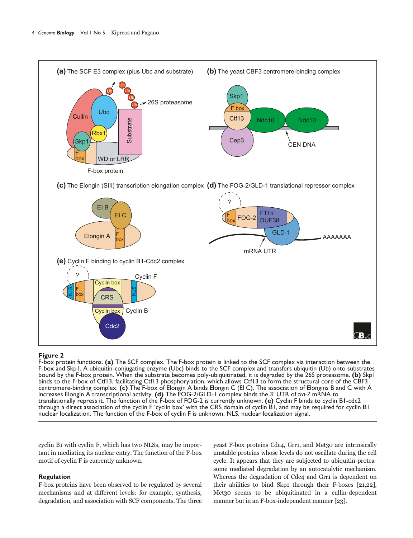

## **Figure 2**

F-box protein functions. **(a)** The SCF complex. The F-box protein is linked to the SCF complex via interaction between the F-box and Skp1. A ubiquitin-conjugating enzyme (Ubc) binds to the SCF complex and transfers ubiquitin (Ub) onto substrates bound by the F-box protein. When the substrate becomes poly-ubiquitinated, it is degraded by the 26S proteasome. **(b)** Skp1 binds to the F-box of Ctf13, facilitating Ctf13 phosphorylation, which allows Ctf13 to form the structural core of the CBF3 centromere-binding complex. **(c)** The F-box of Elongin A binds Elongin C (El C). The association of Elongins B and C with A increases Elongin A transcriptional activity. **(d)** The FOG-2/GLD-1 complex binds the 3' UTR of *tra-2* mRNA to translationally repress it. The function of the F-box of FOG-2 is currently unknown. **(e)** Cyclin F binds to cyclin B1-cdc2 through a direct association of the cyclin F 'cyclin box' with the CRS domain of cyclin B1, and may be required for cyclin B1 nuclear localization. The function of the F-box of cyclin F is unknown. NLS, nuclear localization signal.

cyclin B1 with cyclin F, which has two NLSs, may be important in mediating its nuclear entry. The function of the F-box motif of cyclin F is currently unknown.

# **Regulation**

F-box proteins have been observed to be regulated by several mechanisms and at different levels: for example, synthesis, degradation, and association with SCF components. The three yeast F-box proteins Cdc4, Grr1, and Met30 are intrinsically unstable proteins whose levels do not oscillate during the cell cycle. It appears that they are subjected to ubiquitin-proteasome mediated degradation by an autocatalytic mechanism. Whereas the degradation of Cdc4 and Grr1 is dependent on their abilities to bind Skp1 through their F-boxes [21,22], Met30 seems to be ubiquitinated in a cullin-dependent manner but in an F-box-independent manner [23].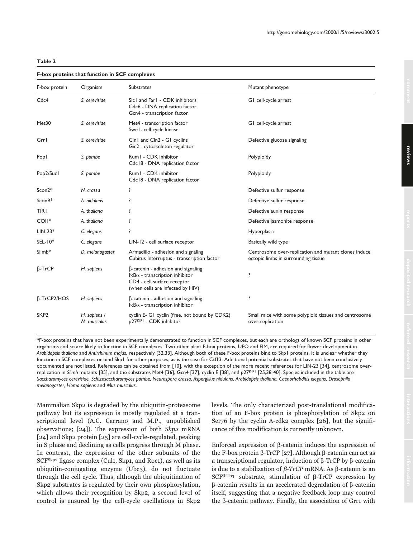## **F-box proteins that function in SCF complexes**

| F-box protein      | Organism                    | <b>Substrates</b>                                                                                                                                                            | Mutant phenotype                                                                            |
|--------------------|-----------------------------|------------------------------------------------------------------------------------------------------------------------------------------------------------------------------|---------------------------------------------------------------------------------------------|
| Cdc4               | S. cerevisiae               | Sic1 and Far1 - CDK inhibitors<br>Cdc6 - DNA replication factor<br>Gcn4 - transcription factor                                                                               | GI cell-cycle arrest                                                                        |
| Met30              | S. cerevisiae               | Met4 - transcription factor<br>Swel-cell cycle kinase                                                                                                                        | GI cell-cycle arrest                                                                        |
| Grrl               | S. cerevisiae               | Cln1 and Cln2 - G1 cyclins<br>Gic2 - cytoskeleton regulator                                                                                                                  | Defective glucose signaling                                                                 |
| Popl               | S. pombe                    | Rum1 - CDK inhibitor<br>Cdc18 - DNA replication factor                                                                                                                       | Polyploidy                                                                                  |
| Pop2/Sud1          | S. pombe                    | Rum1 - CDK inhibitor<br>Cdc18 - DNA replication factor                                                                                                                       | Polyploidy                                                                                  |
| Scon2*             | N. crassa                   | ŗ                                                                                                                                                                            | Defective sulfur response                                                                   |
| $SconB*$           | A. nidulans                 | ŗ                                                                                                                                                                            | Defective sulfur response                                                                   |
| <b>TIRI</b>        | A. thaliana                 | ŗ                                                                                                                                                                            | Defective auxin response                                                                    |
| COII <sup>*</sup>  | A. thaliana                 | ŗ                                                                                                                                                                            | Defective jasmonite response                                                                |
| $LIN-23*$          | C. elegans                  | ŗ                                                                                                                                                                            | Hyperplasia                                                                                 |
| $SEL-10*$          | C. elegans                  | LIN-12 - cell surface receptor                                                                                                                                               | Basically wild type                                                                         |
| $Slimb*$           | D. melanogaster             | Armadillo - adhesion and signaling<br>Cubitus Interruptus - transcription factor                                                                                             | Centrosome over-replication and mutant clones induce<br>ectopic limbs in surrounding tissue |
| $\beta$ -TrCP      | H. sapiens                  | $\beta$ -catenin - adhesion and signaling<br>$\mathsf{I}\kappa\mathsf{B}\alpha$ - transcription inhibitor<br>CD4 - cell surface receptor<br>(when cells are infected by HIV) | ŗ                                                                                           |
| $\beta$ -TrCP2/HOS | H. sapiens                  | $\beta$ -catenin - adhesion and signaling<br>$\mathsf{I}\kappa\mathsf{B}\alpha$ - transcription inhibitor                                                                    | ļ                                                                                           |
| SKP <sub>2</sub>   | H. sapiens /<br>M. musculus | cyclin E- G1 cyclin (free, not bound by CDK2)<br>p27KIPI - CDK inhibitor                                                                                                     | Small mice with some polyploid tissues and centrosome<br>over-replication                   |

\*F-box proteins that have not been experimentally demonstrated to function in SCF complexes, but each are orthologs of known SCF proteins in other organisms and so are likely to function in SCF complexes. Two other plant F-box proteins, UFO and FIM, are required for flower development in *Arabidopsis thaliana* and *Antirrhinum majus*, respectively [32,33]. Although both of these F-box proteins bind to Skp1 proteins, it is unclear whether they function in SCF complexes or bind Skp1 for other purposes, as is the case for Ctf13. Additional potential substrates that have not been conclusively documented are not listed. References can be obtained from [10], with the exception of the more recent references for LIN-23 [34], centrosome overreplication in Slimb mutants [35], and the substrates Met4 [36], Gcn4 [37], cyclin E [38], and p27<sup>KIPI</sup> [25,38-40]. Species included in the table are *Saccharomyces cerevisiae, Schizosaccharomyces pombe, Neurospora crassa, Aspergillus nidulans, Arabidopsis thaliana, Caenorhabditis elegans, Drosophila melanogaster, Homo sapiens* and *Mus musculus*.

Mammalian Skp2 is degraded by the ubiquitin-proteasome pathway but its expression is mostly regulated at a transcriptional level (A.C. Carrano and M.P., unpublished observations; [24]). The expression of both Skp2 mRNA [24] and Skp2 protein [25] are cell-cycle-regulated, peaking in S phase and declining as cells progress through M phase. In contrast, the expression of the other subunits of the SCF<sup>Skp2</sup> ligase complex (Cul1, Skp1, and Roc1), as well as its ubiquitin-conjugating enzyme (Ubc3), do not fluctuate through the cell cycle. Thus, although the ubiquitination of Skp2 substrates is regulated by their own phosphorylation, which allows their recognition by Skp2, a second level of control is ensured by the cell-cycle oscillations in Skp2

levels. The only characterized post-translational modification of an F-box protein is phosphorylation of Skp2 on Ser $\frac{1}{26}$  by the cyclin A-cdk2 complex [26], but the significance of this modification is currently unknown.

Enforced expression of  $\beta$ -catenin induces the expression of the F-box protein β-TrCP [27]. Although β-catenin can act as a transcriptional regulator, induction of β-TrCP by β-catenin is due to a stabilization of β-TrCP mRNA. As β-catenin is an SCF<sup>β-Trcp</sup> substrate, stimulation of  $\beta$ -TrCP expression by β-catenin results in an accelerated degradation of β-catenin itself, suggesting that a negative feedback loop may control the β-catenin pathway. Finally, the association of Grr1 with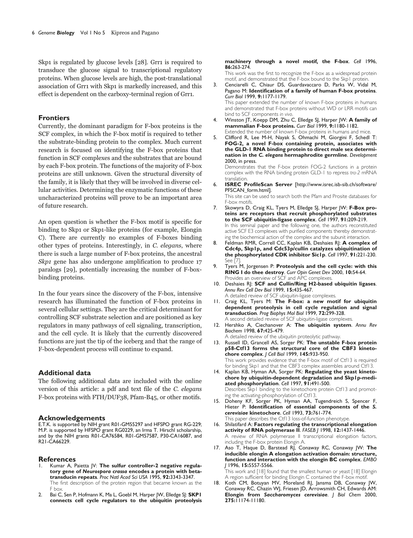Skp1 is regulated by glucose levels [28]. Grr1 is required to transduce the glucose signal to transcriptional regulatory proteins. When glucose levels are high, the post-translational association of Grr1 with Skp1 is markedly increased, and this effect is dependent on the carboxy-terminal region of Grr1.

#### **Frontiers**

Currently, the dominant paradigm for F-box proteins is the SCF complex, in which the F-box motif is required to tether the substrate-binding protein to the complex. Much current research is focused on identifying the F-box proteins that function in SCF complexes and the substrates that are bound by each F-box protein. The functions of the majority of F-box proteins are still unknown. Given the structural diversity of the family, it is likely that they will be involved in diverse cellular activities. Determining the enzymatic functions of these uncharacterized proteins will prove to be an important area of future research.

An open question is whether the F-box motif is specific for binding to Skp1 or Skp1-like proteins (for example, Elongin C). There are currently no examples of F-boxes binding other types of proteins. Interestingly, in C. elegans, where there is such a large number of F-box proteins, the ancestral Skp1 gene has also undergone amplification to produce 17 paralogs [29], potentially increasing the number of F-boxbinding proteins.

In the four years since the discovery of the F-box, intensive research has illuminated the function of F-box proteins in several cellular settings. They are the critical determinant for controlling SCF substrate selection and are positioned as key regulators in many pathways of cell signaling, transcription, and the cell cycle. It is likely that the currently discovered functions are just the tip of the iceberg and that the range of F-box-dependent process will continue to expand.

# **Additional data**

The following additional data are included with the online version of this article: a pdf and text file of the C. elegans F-box proteins with FTH/DUF38, Pfam-B45, or other motifs.

#### **Acknowledgements**

E.T.K. is supported by NIH grant R01-GM55297 and HFSPO grant RG-229; M.P. is supported by HFSPO grant RG0229, an Irma T. Hirschl scholarship, and by the NIH grants R01-CA76584, R01-GM57587, P30-CA16087, and R21-CA66229.

#### **References**

- Kumar A, Paietta JV: The sulfur controller-2 negative regula**tory gene of** *Neurospora crassa* **encodes a protein with betatransducin repeats**. *Proc Natl Acad Sci USA* 1995, **92:**3343-3347. The first description of the protein region that became known as the F box*.*
- 2. Bai C, Sen P, Hofmann K, Ma L, Goebl M, Harper JW, Elledge SJ: **SKP1 connects cell cycle regulators to the ubiquitin proteolysis**

#### **machinery through a novel motif, the F-box**. *Cell* 1996, **86:**263-274.

This work was the first to recognize the F-box as a widespread protein motif, and demonstrated that the F-box bound to the Skp1 protein.

- 3. Cenciarelli C, Chiaur DS, Guardavaccaro D, Parks W, Vidal M, Pagano M: **Identification of a family of human F-box proteins**. *Curr Biol* 1999, **9:**1177-1179. This paper extended the number of known F-box proteins in humans and demonstrated that F-box proteins without WD or LRR motifs can bind to SCF components *in vivo*.
- 4. Winston JT, Koepp DM, Zhu C, Elledge SJ, Harper JW: **A family of mammalian F-box proteins.** *Curr Biol* 1999, **9:**1180-1182. Extended the number of known F-box proteins in humans and mice.
- 5. Clifford R, Lee M-H, Nayak S, Ohmachi M, Giorgini F, Schedl T: **FOG-2, a novel F-box containing protein, associates with the GLD-1 RNA binding protein to direct male sex determination in the** *C. elegans* **hermaphrodite germline**. *Development* 2000, in press.

Demonstrates that the F-box protein FOG-2 functions in a protein complex with the RNA binding protein GLD-1 to repress *tra-2* mRNA translation.

6. **ISREC ProfileScan Server** [http://www.isrec.isb-sib.ch/software/ PFSCAN\_form.html].

This site can be used to search both the Pfam and Prosite databases for F-box motifs.

- 7. Skowyra D, Craig KL, Tyers M, Elledge SJ, Harper JW: **F-Box proteins are receptors that recruit phosphorylated substrates to the SCF ubiquitin-ligase complex**. *Cell* 1997, **91:**209-219. In this seminal paper and the following one, the authors reconstituted active SCF E3 complexes with purified components thereby demonstrating the biochemical action of the complex and the subunit interaction.
- 8. Feldman RMR, Correll CC, Kaplan KB, Deshaies RJ: **A complex of Cdc4p, Skp1p, and Cdc53p/cullin catalyzes ubiquitination of the phosphorylated CDK inhibitor Sic1p**. *Cell* 1997, **91:**221-230. See [7].
- 9. Tyers M, Jorgensen P: **Proteolysis and the cell cycle: with this RING I do thee destroy**. *Curr Opin Genet Dev* 2000, **10:**54-64. Provides an overview of SCF and APC complexes.
- 10. Deshaies RJ: **SCF and Cullin/Ring H2-based ubiquitin ligases**. *Annu Rev Cell Dev Biol* 1999, **15:**435-467. A detailed review of SCF ubiquitin-ligase complexes.
- 11. Craig KL, Tyers M: **The F-box: a new motif for ubiquitin dependent proteolysis in cell cycle regulation and signal transduction**. *Prog Biophys Mol Biol* 1999, **72:**299-328. A second detailed review of SCF ubiquitin-ligase complexes.
- 12. Hershko A, Ciechanover A: **The ubiquitin system**. *Annu Rev Biochem* 1998, **67:**425-479.

A detailed review of the ubiquitin proteolytic pathway. 13. Russell ID, Grancell AS, Sorger PK: **The unstable F-box protein p58-Ctf13 forms the structural core of the CBF3 kinetochore complex**. *J Cell Biol* 1999, **145:**933-950. This work provides evidence that the F-box motif of Ctf13 is required for binding Skp1 and that the CBF3 complex assembles around Ctf13.

- 14. Kaplan KB, Hyman AA, Sorger PK: **Regulating the yeast kinetochore by ubiquitin-dependent degradation and Skp1p-mediated phosphorylation**. *Cell* 1997, **91:**491-500. Describes Skp1 binding to the kinetochore protein Ctf13 and promoting the activating-phosphorylation of Ctf13.
- 15. Doheny KF, Sorger PK, Hyman AA, Tugendreich S, Spencer F, Hieter P: **Identification of essential components of the** *S. cerevisiae* **kinetochore**. *Cell* 1993, **73:**761-774. This paper describes the Ctf13 loss-of-function phenotype.
- 16. Shilatifard A: **Factors regulating the transcriptional elongation activity of RNA polymerase II**. *FASEB J* 1998, **12:**1437-1446. A review of RNA polymerase II transcriptional elongation factors, including the F-box protein Elongin A.
- 17. Aso T, Haque D, Barstead RJ, Conaway RC, Conaway JW: **The inducible elongin A elongation activation domain: structure, function and interaction with the elongin BC complex**. *EMBO J* 1996, **15:**5557-5566.

This work and [18] found that the smallest human or yeast [18] Elongin A region sufficient for binding Elongin C contained the F-box motif.

18. Koth CM, Botuyan MV, Moreland RJ, Jansma DB, Conaway JW, Conaway RC, Chazin WJ, Friesen JD, Arrowsmith CH, Edwards AM: **Elongin from** *Saccharomyces cerevisiae*. *J Biol Chem* 2000, **275:**11174-11180.